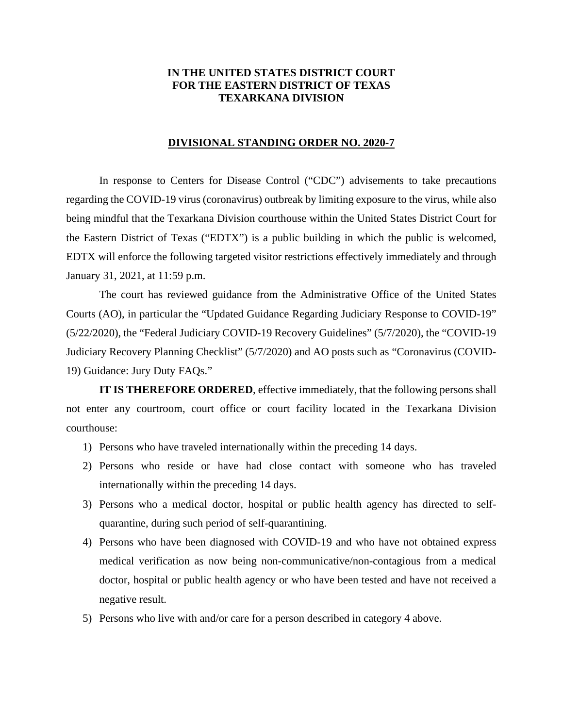## **IN THE UNITED STATES DISTRICT COURT FOR THE EASTERN DISTRICT OF TEXAS TEXARKANA DIVISION**

## **DIVISIONAL STANDING ORDER NO. 2020-7**

In response to Centers for Disease Control ("CDC") advisements to take precautions regarding the COVID-19 virus (coronavirus) outbreak by limiting exposure to the virus, while also being mindful that the Texarkana Division courthouse within the United States District Court for the Eastern District of Texas ("EDTX") is a public building in which the public is welcomed, EDTX will enforce the following targeted visitor restrictions effectively immediately and through January 31, 2021, at 11:59 p.m.

The court has reviewed guidance from the Administrative Office of the United States Courts (AO), in particular the "Updated Guidance Regarding Judiciary Response to COVID-19" (5/22/2020), the "Federal Judiciary COVID-19 Recovery Guidelines" (5/7/2020), the "COVID-19 Judiciary Recovery Planning Checklist" (5/7/2020) and AO posts such as "Coronavirus (COVID-19) Guidance: Jury Duty FAQs."

**IT IS THEREFORE ORDERED**, effective immediately, that the following persons shall not enter any courtroom, court office or court facility located in the Texarkana Division courthouse:

- 1) Persons who have traveled internationally within the preceding 14 days.
- 2) Persons who reside or have had close contact with someone who has traveled internationally within the preceding 14 days.
- 3) Persons who a medical doctor, hospital or public health agency has directed to selfquarantine, during such period of self-quarantining.
- 4) Persons who have been diagnosed with COVID-19 and who have not obtained express medical verification as now being non-communicative/non-contagious from a medical doctor, hospital or public health agency or who have been tested and have not received a negative result.
- 5) Persons who live with and/or care for a person described in category 4 above.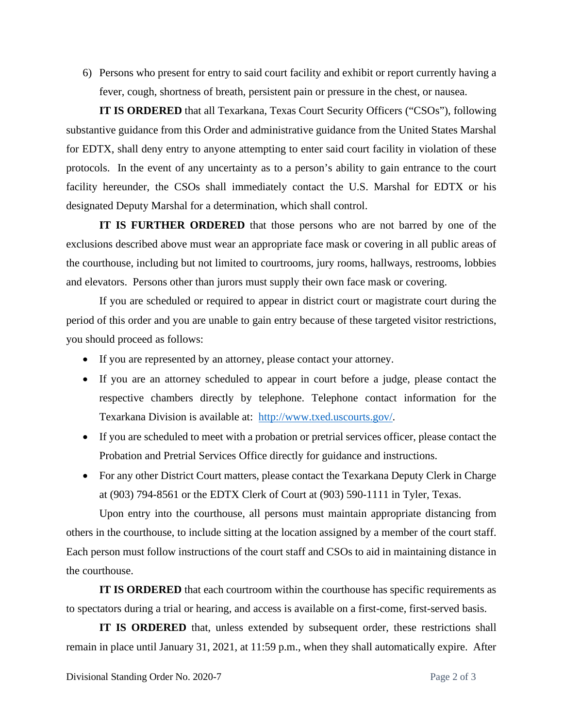6) Persons who present for entry to said court facility and exhibit or report currently having a fever, cough, shortness of breath, persistent pain or pressure in the chest, or nausea.

**IT IS ORDERED** that all Texarkana, Texas Court Security Officers ("CSOs"), following substantive guidance from this Order and administrative guidance from the United States Marshal for EDTX, shall deny entry to anyone attempting to enter said court facility in violation of these protocols. In the event of any uncertainty as to a person's ability to gain entrance to the court facility hereunder, the CSOs shall immediately contact the U.S. Marshal for EDTX or his designated Deputy Marshal for a determination, which shall control.

**IT IS FURTHER ORDERED** that those persons who are not barred by one of the exclusions described above must wear an appropriate face mask or covering in all public areas of the courthouse, including but not limited to courtrooms, jury rooms, hallways, restrooms, lobbies and elevators. Persons other than jurors must supply their own face mask or covering.

If you are scheduled or required to appear in district court or magistrate court during the period of this order and you are unable to gain entry because of these targeted visitor restrictions, you should proceed as follows:

- If you are represented by an attorney, please contact your attorney.
- If you are an attorney scheduled to appear in court before a judge, please contact the respective chambers directly by telephone. Telephone contact information for the Texarkana Division is available at: http://www.txed.uscourts.gov/.
- If you are scheduled to meet with a probation or pretrial services officer, please contact the Probation and Pretrial Services Office directly for guidance and instructions.
- For any other District Court matters, please contact the Texarkana Deputy Clerk in Charge at (903) 794-8561 or the EDTX Clerk of Court at (903) 590-1111 in Tyler, Texas.

Upon entry into the courthouse, all persons must maintain appropriate distancing from others in the courthouse, to include sitting at the location assigned by a member of the court staff. Each person must follow instructions of the court staff and CSOs to aid in maintaining distance in the courthouse.

**IT IS ORDERED** that each courtroom within the courthouse has specific requirements as to spectators during a trial or hearing, and access is available on a first-come, first-served basis.

**IT IS ORDERED** that, unless extended by subsequent order, these restrictions shall remain in place until January 31, 2021, at 11:59 p.m., when they shall automatically expire. After